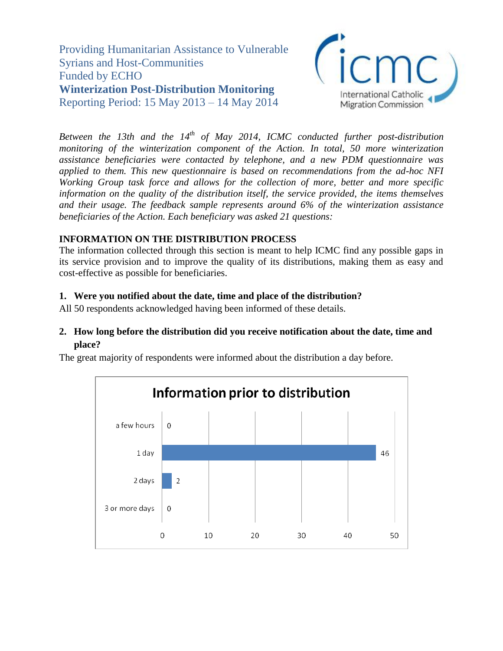Providing Humanitarian Assistance to Vulnerable Syrians and Host-Communities Funded by ECHO **Winterization Post-Distribution Monitoring**  Reporting Period: 15 May 2013 – 14 May 2014



*Between the 13th and the 14<sup>th</sup> of May 2014, ICMC conducted further post-distribution monitoring of the winterization component of the Action. In total, 50 more winterization assistance beneficiaries were contacted by telephone, and a new PDM questionnaire was applied to them. This new questionnaire is based on recommendations from the ad-hoc NFI Working Group task force and allows for the collection of more, better and more specific information on the quality of the distribution itself, the service provided, the items themselves and their usage. The feedback sample represents around 6% of the winterization assistance beneficiaries of the Action. Each beneficiary was asked 21 questions:* 

## **INFORMATION ON THE DISTRIBUTION PROCESS**

The information collected through this section is meant to help ICMC find any possible gaps in its service provision and to improve the quality of its distributions, making them as easy and cost-effective as possible for beneficiaries.

## **1. Were you notified about the date, time and place of the distribution?**

All 50 respondents acknowledged having been informed of these details.

### **2. How long before the distribution did you receive notification about the date, time and place?**

The great majority of respondents were informed about the distribution a day before.

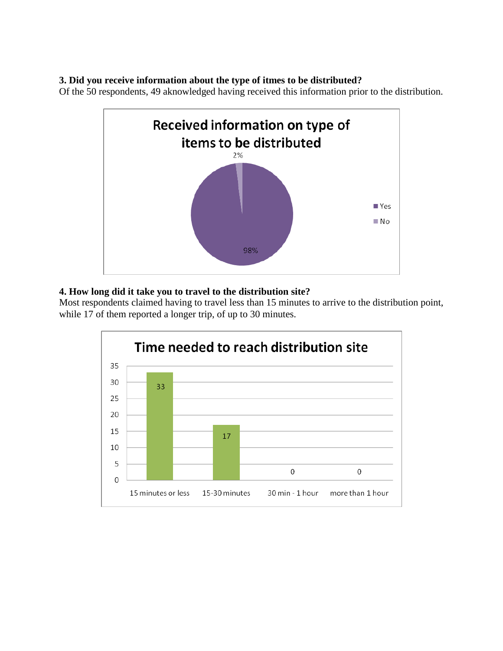### **3. Did you receive information about the type of itmes to be distributed?**

Of the 50 respondents, 49 aknowledged having received this information prior to the distribution.



## **4. How long did it take you to travel to the distribution site?**

Most respondents claimed having to travel less than 15 minutes to arrive to the distribution point, while 17 of them reported a longer trip, of up to 30 minutes.

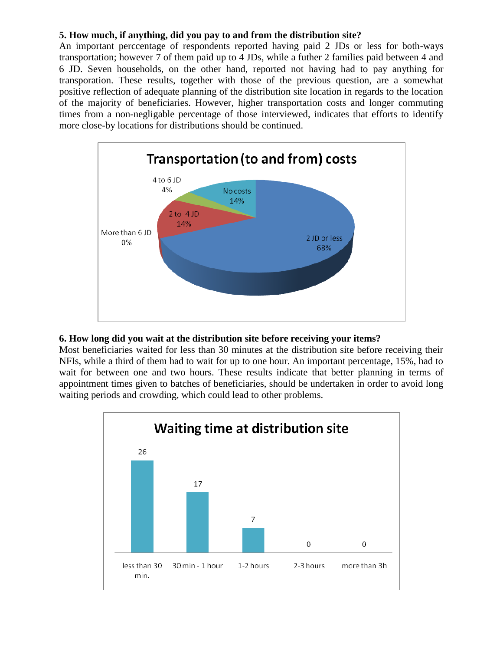### **5. How much, if anything, did you pay to and from the distribution site?**

An important perccentage of respondents reported having paid 2 JDs or less for both-ways transportation; however 7 of them paid up to 4 JDs, while a futher 2 families paid between 4 and 6 JD. Seven households, on the other hand, reported not having had to pay anything for transporation. These results, together with those of the previous question, are a somewhat positive reflection of adequate planning of the distribution site location in regards to the location of the majority of beneficiaries. However, higher transportation costs and longer commuting times from a non-negligable percentage of those interviewed, indicates that efforts to identify more close-by locations for distributions should be continued.



#### **6. How long did you wait at the distribution site before receiving your items?**

Most beneficiaries waited for less than 30 minutes at the distribution site before receiving their NFIs, while a third of them had to wait for up to one hour. An important percentage, 15%, had to wait for between one and two hours. These results indicate that better planning in terms of appointment times given to batches of beneficiaries, should be undertaken in order to avoid long waiting periods and crowding, which could lead to other problems.

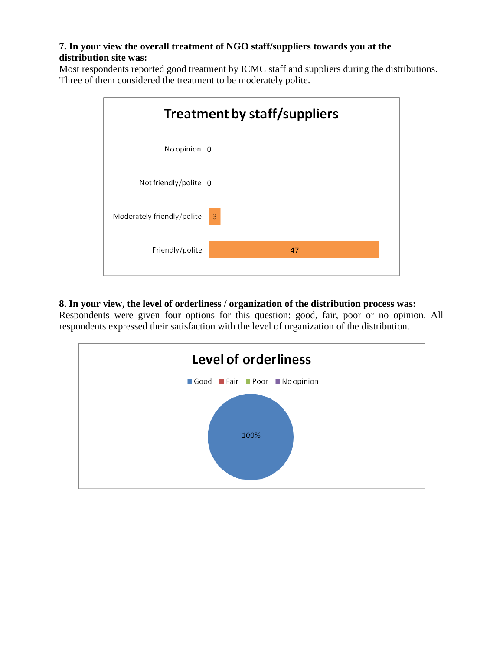## **7. In your view the overall treatment of NGO staff/suppliers towards you at the distribution site was:**

Most respondents reported good treatment by ICMC staff and suppliers during the distributions. Three of them considered the treatment to be moderately polite.



# **8. In your view, the level of orderliness / organization of the distribution process was:**

Respondents were given four options for this question: good, fair, poor or no opinion. All respondents expressed their satisfaction with the level of organization of the distribution.

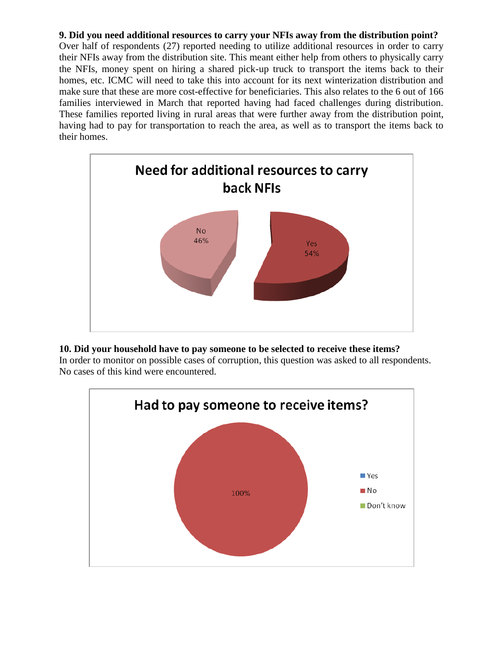### **9. Did you need additional resources to carry your NFIs away from the distribution point?**

Over half of respondents (27) reported needing to utilize additional resources in order to carry their NFIs away from the distribution site. This meant either help from others to physically carry the NFIs, money spent on hiring a shared pick-up truck to transport the items back to their homes, etc. ICMC will need to take this into account for its next winterization distribution and make sure that these are more cost-effective for beneficiaries. This also relates to the 6 out of 166 families interviewed in March that reported having had faced challenges during distribution. These families reported living in rural areas that were further away from the distribution point, having had to pay for transportation to reach the area, as well as to transport the items back to their homes.



### **10. Did your household have to pay someone to be selected to receive these items?**

In order to monitor on possible cases of corruption, this question was asked to all respondents. No cases of this kind were encountered.

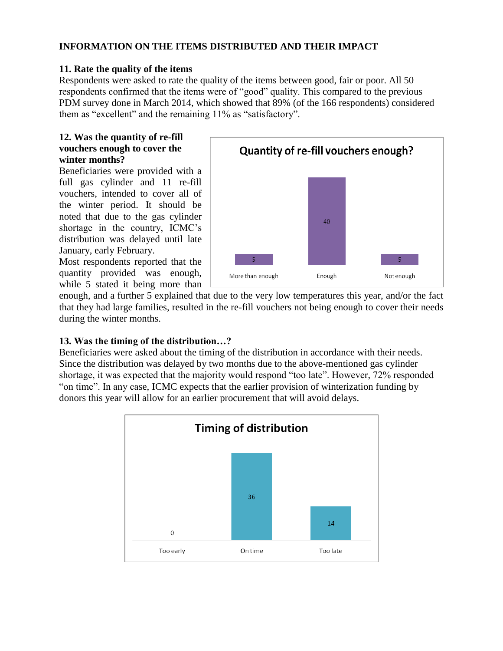### **INFORMATION ON THE ITEMS DISTRIBUTED AND THEIR IMPACT**

### **11. Rate the quality of the items**

Respondents were asked to rate the quality of the items between good, fair or poor. All 50 respondents confirmed that the items were of "good" quality. This compared to the previous PDM survey done in March 2014, which showed that 89% (of the 166 respondents) considered them as "excellent" and the remaining 11% as "satisfactory".

### **12. Was the quantity of re-fill vouchers enough to cover the winter months?**

Beneficiaries were provided with a full gas cylinder and 11 re-fill vouchers, intended to cover all of the winter period. It should be noted that due to the gas cylinder shortage in the country, ICMC's distribution was delayed until late January, early February.

Most respondents reported that the quantity provided was enough, while 5 stated it being more than



enough, and a further 5 explained that due to the very low temperatures this year, and/or the fact that they had large families, resulted in the re-fill vouchers not being enough to cover their needs during the winter months.

### **13. Was the timing of the distribution…?**

Beneficiaries were asked about the timing of the distribution in accordance with their needs. Since the distribution was delayed by two months due to the above-mentioned gas cylinder shortage, it was expected that the majority would respond "too late". However, 72% responded "on time". In any case, ICMC expects that the earlier provision of winterization funding by donors this year will allow for an earlier procurement that will avoid delays.

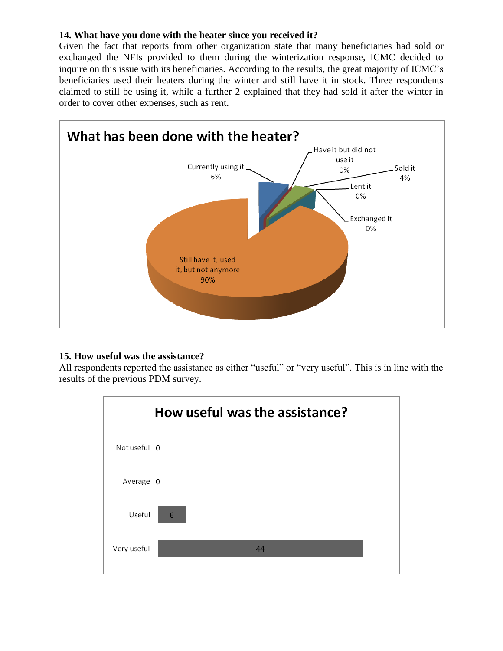### **14. What have you done with the heater since you received it?**

Given the fact that reports from other organization state that many beneficiaries had sold or exchanged the NFIs provided to them during the winterization response, ICMC decided to inquire on this issue with its beneficiaries. According to the results, the great majority of ICMC's beneficiaries used their heaters during the winter and still have it in stock. Three respondents claimed to still be using it, while a further 2 explained that they had sold it after the winter in order to cover other expenses, such as rent.



### **15. How useful was the assistance?**

All respondents reported the assistance as either "useful" or "very useful". This is in line with the results of the previous PDM survey.

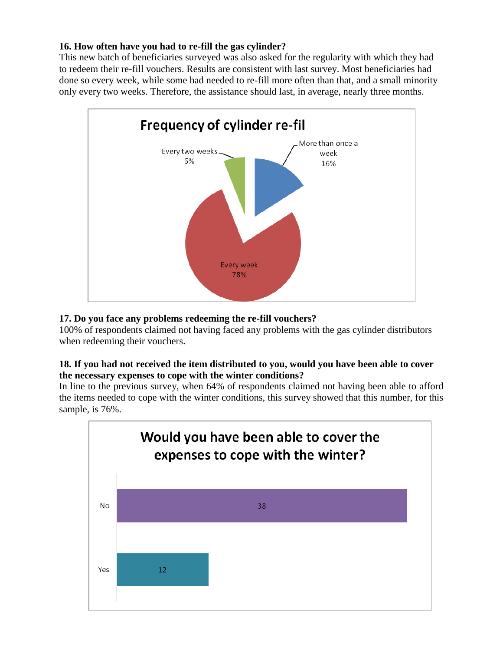## **16. How often have you had to re-fill the gas cylinder?**

This new batch of beneficiaries surveyed was also asked for the regularity with which they had to redeem their re-fill vouchers. Results are consistent with last survey. Most beneficiaries had done so every week, while some had needed to re-fill more often than that, and a small minority only every two weeks. Therefore, the assistance should last, in average, nearly three months.



# **17. Do you face any problems redeeming the re-fill vouchers?**

100% of respondents claimed not having faced any problems with the gas cylinder distributors when redeeming their vouchers.

### **18. If you had not received the item distributed to you, would you have been able to cover the necessary expenses to cope with the winter conditions?**

In line to the previous survey, when 64% of respondents claimed not having been able to afford the items needed to cope with the winter conditions, this survey showed that this number, for this sample, is 76%.

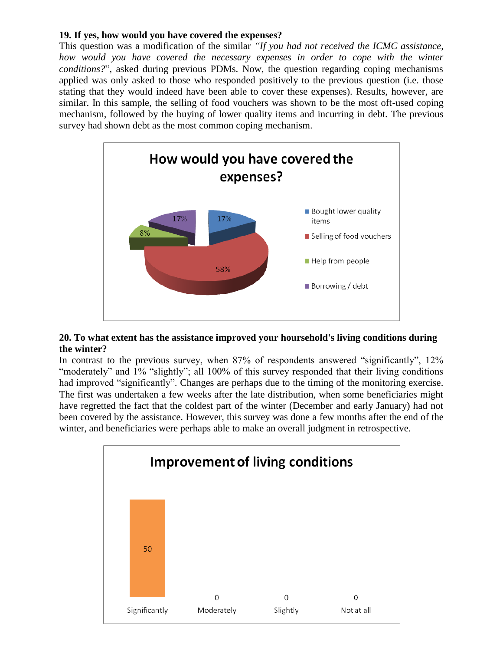#### **19. If yes, how would you have covered the expenses?**

This question was a modification of the similar *"If you had not received the ICMC assistance, how would you have covered the necessary expenses in order to cope with the winter conditions?*", asked during previous PDMs. Now, the question regarding coping mechanisms applied was only asked to those who responded positively to the previous question (i.e. those stating that they would indeed have been able to cover these expenses). Results, however, are similar. In this sample, the selling of food vouchers was shown to be the most oft-used coping mechanism, followed by the buying of lower quality items and incurring in debt. The previous survey had shown debt as the most common coping mechanism.



#### **20. To what extent has the assistance improved your hoursehold's living conditions during the winter?**

In contrast to the previous survey, when 87% of respondents answered "significantly", 12% "moderately" and 1% "slightly"; all 100% of this survey responded that their living conditions had improved "significantly". Changes are perhaps due to the timing of the monitoring exercise. The first was undertaken a few weeks after the late distribution, when some beneficiaries might have regretted the fact that the coldest part of the winter (December and early January) had not been covered by the assistance. However, this survey was done a few months after the end of the winter, and beneficiaries were perhaps able to make an overall judgment in retrospective.